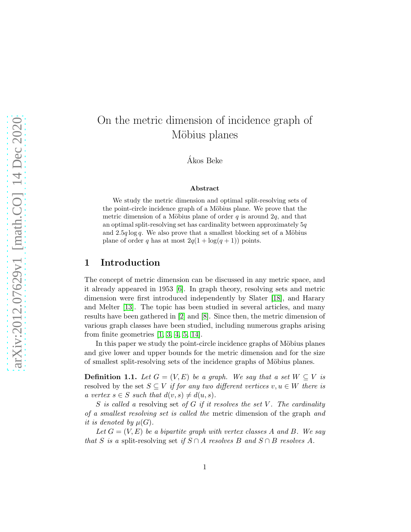# On the metric dimension of incidence graph of Möbius planes

Akos Beke ´

#### Abstract

We study the metric dimension and optimal split-resolving sets of the point-circle incidence graph of a Möbius plane. We prove that the metric dimension of a Möbius plane of order  $q$  is around  $2q$ , and that an optimal split-resolving set has cardinality between approximately  $5q$ and  $2.5q \log q$ . We also prove that a smallest blocking set of a Möbius plane of order q has at most  $2q(1 + \log(q + 1))$  points.

## 1 Introduction

The concept of metric dimension can be discussed in any metric space, and it already appeared in 1953 [\[6\]](#page-14-0). In graph theory, resolving sets and metric dimension were first introduced independently by Slater [\[18\]](#page-15-0), and Harary and Melter [\[13\]](#page-15-1). The topic has been studied in several articles, and many results have been gathered in [\[2\]](#page-14-1) and [\[8\]](#page-14-2). Since then, the metric dimension of various graph classes have been studied, including numerous graphs arising from finite geometries  $[1, 3, 4, 5, 14]$  $[1, 3, 4, 5, 14]$  $[1, 3, 4, 5, 14]$  $[1, 3, 4, 5, 14]$  $[1, 3, 4, 5, 14]$ .

In this paper we study the point-circle incidence graphs of Möbius planes and give lower and upper bounds for the metric dimension and for the size of smallest split-resolving sets of the incidence graphs of Möbius planes.

**Definition 1.1.** Let  $G = (V, E)$  be a graph. We say that a set  $W \subseteq V$  is resolved by the set  $S \subseteq V$  if for any two different vertices  $v, u \in W$  there is a vertex  $s \in S$  such that  $d(v, s) \neq d(u, s)$ .

S is called a resolving set of G if it resolves the set V. The cardinality of a smallest resolving set is called the metric dimension of the graph and it is denoted by  $\mu(G)$ .

Let  $G = (V, E)$  be a bipartite graph with vertex classes A and B. We say that S is a split-resolving set if  $S \cap A$  resolves B and  $S \cap B$  resolves A.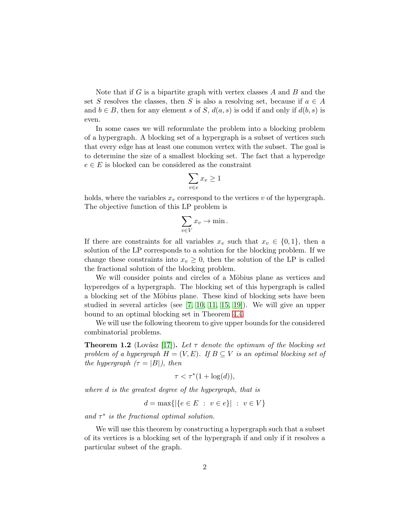Note that if  $G$  is a bipartite graph with vertex classes  $A$  and  $B$  and the set S resolves the classes, then S is also a resolving set, because if  $a \in A$ and  $b \in B$ , then for any element s of S,  $d(a, s)$  is odd if and only if  $d(b, s)$  is even.

In some cases we will reformulate the problem into a blocking problem of a hypergraph. A blocking set of a hypergraph is a subset of vertices such that every edge has at least one common vertex with the subset. The goal is to determine the size of a smallest blocking set. The fact that a hyperedge  $e \in E$  is blocked can be considered as the constraint

$$
\sum_{v \in e} x_v \ge 1
$$

holds, where the variables  $x_v$  correspond to the vertices v of the hypergraph. The objective function of this LP problem is

$$
\sum_{v \in V} x_v \to \min.
$$

If there are constraints for all variables  $x_v$  such that  $x_v \in \{0,1\}$ , then a solution of the LP corresponds to a solution for the blocking problem. If we change these constraints into  $x_v \geq 0$ , then the solution of the LP is called the fractional solution of the blocking problem.

We will consider points and circles of a Möbius plane as vertices and hyperedges of a hypergraph. The blocking set of this hypergraph is called a blocking set of the Möbius plane. These kind of blocking sets have been studied in several articles (see  $[7, 10, 11, 15, 19]$  $[7, 10, 11, 15, 19]$  $[7, 10, 11, 15, 19]$  $[7, 10, 11, 15, 19]$  $[7, 10, 11, 15, 19]$ ). We will give an upper bound to an optimal blocking set in Theorem [4.4.](#page-12-0)

We will use the following theorem to give upper bounds for the considered combinatorial problems.

<span id="page-1-0"></span>**Theorem 1.2** (Lovász [\[17\]](#page-15-7)). Let  $\tau$  denote the optimum of the blocking set problem of a hypergraph  $H = (V, E)$ . If  $B \subseteq V$  is an optimal blocking set of the hypergraph  $(\tau = |B|)$ , then

$$
\tau < \tau^*(1 + \log(d)),
$$

where d is the greatest degree of the hypergraph, that is

$$
d = \max\{|\{e \in E : v \in e\}| : v \in V\}
$$

and  $\tau^*$  is the fractional optimal solution.

We will use this theorem by constructing a hypergraph such that a subset of its vertices is a blocking set of the hypergraph if and only if it resolves a particular subset of the graph.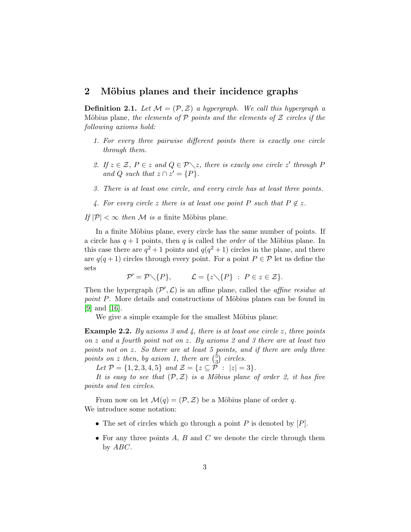## <span id="page-2-0"></span>2 Möbius planes and their incidence graphs

**Definition 2.1.** Let  $M = (\mathcal{P}, \mathcal{Z})$  a hypergraph. We call this hypergraph a Möbius plane, the elements of  $P$  points and the elements of  $Z$  circles if the following axioms hold:

- 1. For every three pairwise different points there is exactly one circle through them.
- 2. If  $z \in \mathcal{Z}$ ,  $P \in z$  and  $Q \in \mathcal{P} \setminus z$ , there is exacly one circle  $z'$  through P and Q such that  $z \cap z' = \{P\}.$
- 3. There is at least one circle, and every circle has at least three points.
- 4. For every circle z there is at least one point P such that  $P \notin z$ .

If  $|\mathcal{P}| < \infty$  then M is a finite Möbius plane.

In a finite Möbius plane, every circle has the same number of points. If a circle has  $q + 1$  points, then q is called the *order* of the Möbius plane. In this case there are  $q^2+1$  points and  $q(q^2+1)$  circles in the plane, and there are  $q(q + 1)$  circles through every point. For a point  $P \in \mathcal{P}$  let us define the sets

 $\mathcal{P}' = \mathcal{P} \setminus \{P\}, \qquad \mathcal{L} = \{z \setminus \{P\} \; : \; P \in z \in \mathcal{Z}\}.$ 

Then the hypergraph  $(\mathcal{P}', \mathcal{L})$  is an affine plane, called the *affine residue at* point P. More details and constructions of Möbius planes can be found in [\[9\]](#page-14-8) and [\[16\]](#page-15-8).

We give a simple example for the smallest Möbius plane:

**Example 2.2.** By axioms 3 and 4, there is at least one circle z, three points on z and a fourth point not on z. By axioms 2 and 3 there are at least two points not on z. So there are at least 5 points, and if there are only three points on z then, by axiom 1, there are  $\binom{5}{3}$  $_3^5$  circles.

Let  $\mathcal{P} = \{1, 2, 3, 4, 5\}$  and  $\mathcal{Z} = \{z \subseteq \mathcal{P} : |z| = 3\}.$ 

It is easy to see that  $(\mathcal{P}, \mathcal{Z})$  is a Möbius plane of order 2, it has five points and ten circles.

From now on let  $\mathcal{M}(q) = (\mathcal{P}, \mathcal{Z})$  be a Möbius plane of order q. We introduce some notation:

- The set of circles which go through a point  $P$  is denoted by  $[P]$ .
- For any three points  $A, B$  and  $C$  we denote the circle through them by ABC.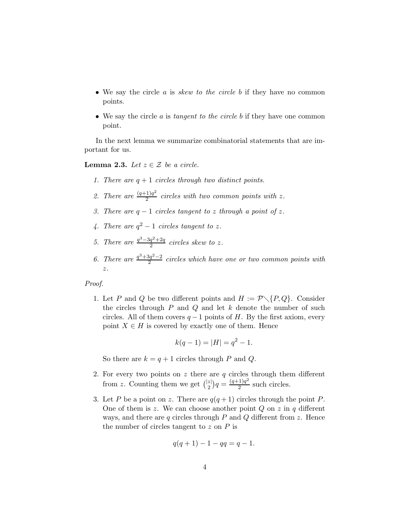- We say the circle  $a$  is *skew to the circle b* if they have no common points.
- We say the circle  $\alpha$  is tangent to the circle  $\beta$  if they have one common point.

In the next lemma we summarize combinatorial statements that are important for us.

<span id="page-3-0"></span>**Lemma 2.3.** Let  $z \in \mathcal{Z}$  be a circle.

- 1. There are  $q + 1$  circles through two distinct points.
- 2. There are  $\frac{(q+1)q^2}{2}$  $rac{11}{2}$  circles with two common points with z.
- 3. There are  $q-1$  circles tangent to z through a point of z.
- 4. There are  $q^2-1$  circles tangent to z.
- 5. There are  $\frac{q^3-3q^2+2q}{2}$  $\frac{q^2+2q}{2}$  circles skew to z.
- 6. There are  $\frac{q^3+3q^2-2}{2}$  $\frac{2q^2-2}{2}$  circles which have one or two common points with z.

#### Proof.

1. Let P and Q be two different points and  $H := \mathcal{P} \setminus \{P, Q\}$ . Consider the circles through  $P$  and  $Q$  and let  $k$  denote the number of such circles. All of them covers  $q-1$  points of H. By the first axiom, every point  $X \in H$  is covered by exactly one of them. Hence

$$
k(q-1) = |H| = q^2 - 1.
$$

So there are  $k = q + 1$  circles through P and Q.

- 2. For every two points on  $z$  there are  $q$  circles through them different from z. Counting them we get  $\binom{|z|}{2}$  $\binom{z}{2}q = \frac{(q+1)q^2}{2}$  $\frac{q}{2}$  such circles.
- 3. Let P be a point on z. There are  $q(q+1)$  circles through the point P. One of them is z. We can choose another point  $Q$  on z in q different ways, and there are  $q$  circles through  $P$  and  $Q$  different from  $z$ . Hence the number of circles tangent to  $z$  on  $P$  is

$$
q(q+1) - 1 - qq = q - 1.
$$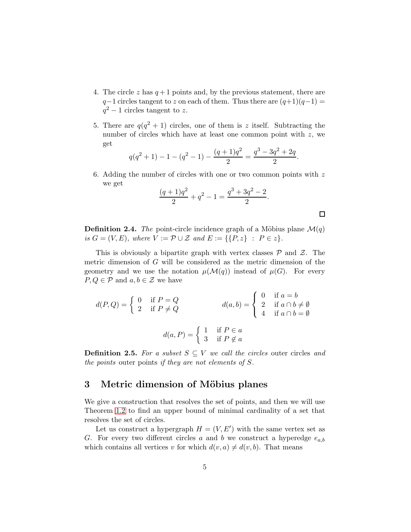- 4. The circle z has  $q+1$  points and, by the previous statement, there are  $q-1$  circles tangent to z on each of them. Thus there are  $(q+1)(q-1) =$  $q^2-1$  circles tangent to z.
- 5. There are  $q(q^2+1)$  circles, one of them is z itself. Subtracting the number of circles which have at least one common point with  $z$ , we get

$$
q(q^{2}+1)-1-(q^{2}-1)-\frac{(q+1)q^{2}}{2}=\frac{q^{3}-3q^{2}+2q}{2}.
$$

6. Adding the number of circles with one or two common points with  $z$ we get

$$
\frac{(q+1)q^2}{2} + q^2 - 1 = \frac{q^3 + 3q^2 - 2}{2}.
$$

**Definition 2.4.** The point-circle incidence graph of a Möbius plane  $\mathcal{M}(q)$ is  $G = (V, E)$ , where  $V := \mathcal{P} \cup \mathcal{Z}$  and  $E := \{ \{P, z\} : P \in z \}.$ 

This is obviously a bipartite graph with vertex classes  $P$  and  $Z$ . The metric dimension of G will be considered as the metric dimension of the geometry and we use the notation  $\mu(\mathcal{M}(q))$  instead of  $\mu(G)$ . For every  $P, Q \in \mathcal{P}$  and  $a, b \in \mathcal{Z}$  we have

$$
d(P,Q) = \begin{cases} 0 & \text{if } P = Q \\ 2 & \text{if } P \neq Q \end{cases} \qquad d(a,b) = \begin{cases} 0 & \text{if } a = b \\ 2 & \text{if } a \cap b \neq \emptyset \\ 4 & \text{if } a \cap b = \emptyset \end{cases}
$$

$$
d(a,P) = \begin{cases} 1 & \text{if } P \in a \\ 3 & \text{if } P \notin a \end{cases}
$$

**Definition 2.5.** For a subset  $S \subseteq V$  we call the circles outer circles and the points outer points if they are not elements of S.

## 3 Metric dimension of Möbius planes

We give a construction that resolves the set of points, and then we will use Theorem [1.2](#page-1-0) to find an upper bound of minimal cardinality of a set that resolves the set of circles.

Let us construct a hypergraph  $H = (V, E')$  with the same vertex set as G. For every two different circles a and b we construct a hyperedge  $e_{a,b}$ which contains all vertices v for which  $d(v, a) \neq d(v, b)$ . That means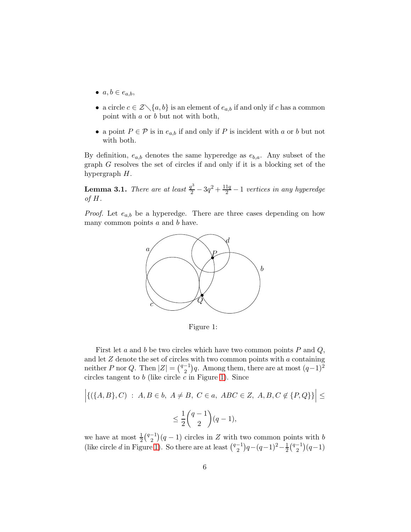- $a, b \in e_{a,b}$
- a circle  $c \in \mathcal{Z} \setminus \{a, b\}$  is an element of  $e_{a,b}$  if and only if c has a common point with a or b but not with both,
- a point  $P \in \mathcal{P}$  is in  $e_{a,b}$  if and only if P is incident with a or b but not with both.

By definition,  $e_{a,b}$  denotes the same hyperedge as  $e_{b,a}$ . Any subset of the graph G resolves the set of circles if and only if it is a blocking set of the hypergraph H.

<span id="page-5-1"></span>**Lemma 3.1.** There are at least  $\frac{q^3}{2} - 3q^2 + \frac{11q}{2} - 1$  vertices in any hyperedge of  $H$ .

*Proof.* Let  $e_{a,b}$  be a hyperedge. There are three cases depending on how many common points  $a$  and  $b$  have.



<span id="page-5-0"></span>Figure 1:

First let a and b be two circles which have two common points  $P$  and  $Q$ , and let  $\boldsymbol{Z}$  denote the set of circles with two common points with  $\boldsymbol{a}$  containing neither P nor Q. Then  $|Z| = \binom{q-1}{2}$  $\binom{-1}{2}$ q. Among them, there are at most  $(q-1)^2$ circles tangent to  $b$  (like circle  $c$  in Figure [1\)](#page-5-0). Since

$$
\left| \{ (\{A, B\}, C) \; : \; A, B \in b, \; A \neq B, \; C \in a, \; ABC \in Z, \; A, B, C \notin \{P, Q\} \} \right| \le
$$
  

$$
\leq \frac{1}{2} {q-1 \choose 2} (q-1),
$$

we have at most  $\frac{1}{2} \binom{q-1}{2}$  $\binom{-1}{2}(q-1)$  circles in Z with two common points with b (like circle d in Figure [1\)](#page-5-0). So there are at least  $\binom{q-1}{2}$  $\binom{-1}{2}q - (q-1)^2 - \frac{1}{2}\binom{q-1}{2}$  $\binom{-1}{2}(q-1)$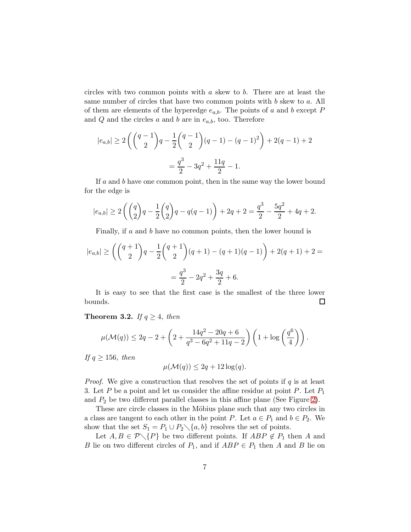circles with two common points with a skew to b. There are at least the same number of circles that have two common points with  $b$  skew to  $a$ . All of them are elements of the hyperedge  $e_{a,b}$ . The points of a and b except P and  $Q$  and the circles  $a$  and  $b$  are in  $e_{a,b}$ , too. Therefore

$$
|e_{a,b}| \ge 2\left(\binom{q-1}{2}q - \frac{1}{2}\binom{q-1}{2}(q-1) - (q-1)^2\right) + 2(q-1) + 2
$$
  
=  $\frac{q^3}{2} - 3q^2 + \frac{11q}{2} - 1.$ 

If a and b have one common point, then in the same way the lower bound for the edge is

$$
|e_{a,b}| \ge 2\left(\binom{q}{2}q - \frac{1}{2}\binom{q}{2}q - q(q-1)\right) + 2q + 2 = \frac{q^3}{2} - \frac{5q^2}{2} + 4q + 2.
$$

Finally, if a and b have no common points, then the lower bound is

$$
|e_{a,b}| \ge \left( {q+1 \choose 2} q - \frac{1}{2} {q+1 \choose 2} (q+1) - (q+1)(q-1) \right) + 2(q+1) + 2 =
$$
  
=  $\frac{q^3}{2} - 2q^2 + \frac{3q}{2} + 6.$ 

It is easy to see that the first case is the smallest of the three lower bounds. □

#### <span id="page-6-0"></span>**Theorem 3.2.** If  $q \geq 4$ , then

$$
\mu(\mathcal{M}(q)) \le 2q - 2 + \left(2 + \frac{14q^2 - 20q + 6}{q^3 - 6q^2 + 11q - 2}\right)\left(1 + \log\left(\frac{q^6}{4}\right)\right).
$$

If  $q \ge 156$ , then

$$
\mu(\mathcal{M}(q)) \le 2q + 12\log(q).
$$

*Proof.* We give a construction that resolves the set of points if  $q$  is at least 3. Let P be a point and let us consider the affine residue at point P. Let  $P_1$ and  $P_2$  be two different parallel classes in this affine plane (See Figure [2\)](#page-7-0).

These are circle classes in the Möbius plane such that any two circles in a class are tangent to each other in the point P. Let  $a \in P_1$  and  $b \in P_2$ . We show that the set  $S_1 = P_1 \cup P_2 \setminus \{a, b\}$  resolves the set of points.

Let  $A, B \in \mathcal{P} \setminus \{P\}$  be two different points. If  $ABP \notin P_1$  then A and B lie on two different circles of  $P_1$ , and if  $ABP \in P_1$  then A and B lie on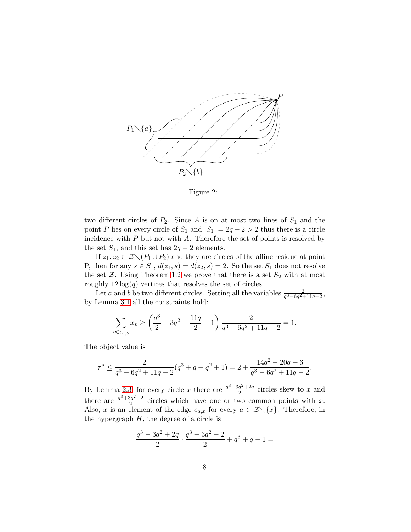

<span id="page-7-0"></span>Figure 2:

two different circles of  $P_2$ . Since A is on at most two lines of  $S_1$  and the point P lies on every circle of  $S_1$  and  $|S_1| = 2q - 2 > 2$  thus there is a circle incidence with  $P$  but not with  $A$ . Therefore the set of points is resolved by the set  $S_1$ , and this set has  $2q - 2$  elements.

If  $z_1, z_2 \in \mathcal{Z} \setminus (P_1 \cup P_2)$  and they are circles of the affine residue at point P, then for any  $s \in S_1$ ,  $d(z_1, s) = d(z_2, s) = 2$ . So the set  $S_1$  does not resolve the set  $\mathcal{Z}$ . Using Theorem [1.2](#page-1-0) we prove that there is a set  $S_2$  with at most roughly  $12 \log(q)$  vertices that resolves the set of circles.

Let a and b be two different circles. Setting all the variables  $\frac{2}{q^3 - 6q^2 + 11q - 2}$ , by Lemma [3.1](#page-5-1) all the constraints hold:

$$
\sum_{v \in e_{a,b}} x_v \ge \left(\frac{q^3}{2} - 3q^2 + \frac{11q}{2} - 1\right) \frac{2}{q^3 - 6q^2 + 11q - 2} = 1.
$$

The object value is

$$
\tau^* \leq \frac{2}{q^3-6q^2+11q-2}(q^3+q+q^2+1) = 2 + \frac{14q^2-20q+6}{q^3-6q^2+11q-2}.
$$

By Lemma [2.3,](#page-3-0) for every circle x there are  $\frac{q^3-3q^2+2q}{2}$  $\frac{q^2+2q}{2}$  circles skew to x and there are  $\frac{q^3+3q^2-2}{2}$  $\frac{2q^2-2}{2}$  circles which have one or two common points with x. Also, x is an element of the edge  $e_{a,x}$  for every  $a \in \mathcal{Z} \setminus \{x\}$ . Therefore, in the hypergraph  $H$ , the degree of a circle is

$$
\frac{q^3 - 3q^2 + 2q}{2} \cdot \frac{q^3 + 3q^2 - 2}{2} + q^3 + q - 1 =
$$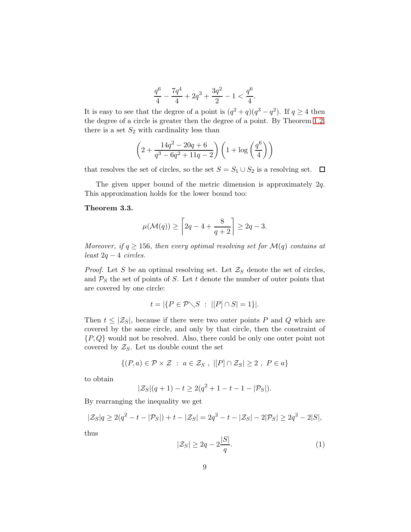$$
\frac{q^6}{4}-\frac{7q^4}{4}+2q^3+\frac{3q^2}{2}-1<\frac{q^6}{4}.
$$

It is easy to see that the degree of a point is  $(q^2 + q)(q^3 - q^2)$ . If  $q \ge 4$  then the degree of a circle is greater then the degree of a point. By Theorem [1.2,](#page-1-0) there is a set  $S_2$  with cardinality less than

$$
\left(2 + \frac{14q^2 - 20q + 6}{q^3 - 6q^2 + 11q - 2}\right)\left(1 + \log\left(\frac{q^6}{4}\right)\right)
$$

that resolves the set of circles, so the set  $S = S_1 \cup S_2$  is a resolving set.  $\Box$ 

The given upper bound of the metric dimension is approximately  $2q$ . This approximation holds for the lower bound too:

#### <span id="page-8-1"></span>Theorem 3.3.

$$
\mu(\mathcal{M}(q)) \ge \left\lceil 2q - 4 + \frac{8}{q+2} \right\rceil \ge 2q - 3.
$$

Moreover, if  $q \ge 156$ , then every optimal resolving set for  $\mathcal{M}(q)$  contains at least 2q − 4 circles.

*Proof.* Let S be an optimal resolving set. Let  $\mathcal{Z}_S$  denote the set of circles, and  $P<sub>S</sub>$  the set of points of S. Let t denote the number of outer points that are covered by one circle:

$$
t = |\{P \in \mathcal{P} \setminus S \ : \ |[P] \cap S| = 1\}|.
$$

Then  $t \leq |\mathcal{Z}_S|$ , because if there were two outer points P and Q which are covered by the same circle, and only by that circle, then the constraint of  $\{P,Q\}$  would not be resolved. Also, there could be only one outer point not covered by  $\mathcal{Z}_S$ . Let us double count the set

$$
\{(P,a)\in\mathcal{P}\times\mathcal{Z} \ : \ a\in\mathcal{Z}_S \ , \ |[P]\cap\mathcal{Z}_S|\geq 2 \ , \ P\in a\}
$$

to obtain

$$
|\mathcal{Z}_S|(q+1) - t \ge 2(q^2 + 1 - t - 1 - |\mathcal{P}_S|).
$$

By rearranging the inequality we get

$$
|\mathcal{Z}_S|q \ge 2(q^2 - t - |\mathcal{P}_S|) + t - |\mathcal{Z}_S| = 2q^2 - t - |\mathcal{Z}_S| - 2|\mathcal{P}_S| \ge 2q^2 - 2|S|,
$$

thus

<span id="page-8-0"></span>
$$
|\mathcal{Z}_S| \ge 2q - 2\frac{|S|}{q}.\tag{1}
$$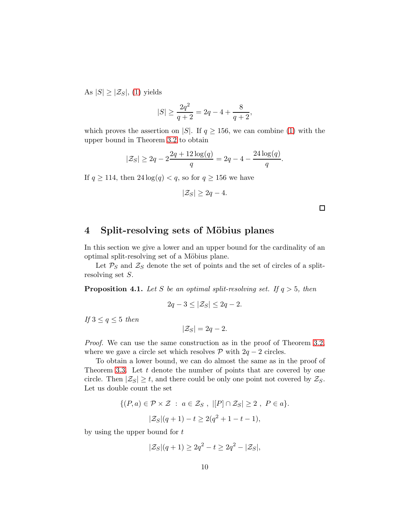As  $|S| \geq |\mathcal{Z}_S|$ , [\(1\)](#page-8-0) yields

$$
|S| \ge \frac{2q^2}{q+2} = 2q - 4 + \frac{8}{q+2},
$$

which proves the assertion on |S|. If  $q \ge 156$ , we can combine [\(1\)](#page-8-0) with the upper bound in Theorem [3.2](#page-6-0) to obtain

$$
|\mathcal{Z}_S| \ge 2q - 2\frac{2q + 12\log(q)}{q} = 2q - 4 - \frac{24\log(q)}{q}.
$$

If  $q \ge 114$ , then  $24 \log(q) < q$ , so for  $q \ge 156$  we have

$$
|\mathcal{Z}_S| \ge 2q - 4.
$$

 $\Box$ 

# 4 Split-resolving sets of Möbius planes

In this section we give a lower and an upper bound for the cardinality of an optimal split-resolving set of a Möbius plane.

Let  $P<sub>S</sub>$  and  $\mathcal{Z}<sub>S</sub>$  denote the set of points and the set of circles of a splitresolving set S.

**Proposition 4.1.** Let S be an optimal split-resolving set. If  $q > 5$ , then

$$
2q - 3 \le |\mathcal{Z}_S| \le 2q - 2.
$$

If  $3 \le q \le 5$  then

 $|\mathcal{Z}_S| = 2q - 2.$ 

Proof. We can use the same construction as in the proof of Theorem [3.2,](#page-6-0) where we gave a circle set which resolves  $P$  with  $2q - 2$  circles.

To obtain a lower bound, we can do almost the same as in the proof of Theorem [3.3.](#page-8-1) Let  $t$  denote the number of points that are covered by one circle. Then  $|\mathcal{Z}_S| \geq t$ , and there could be only one point not covered by  $\mathcal{Z}_S$ . Let us double count the set

$$
\{(P,a) \in \mathcal{P} \times \mathcal{Z} : a \in \mathcal{Z}_S, |[P] \cap \mathcal{Z}_S| \ge 2, P \in a\}.
$$
  

$$
|\mathcal{Z}_S|(q+1) - t \ge 2(q^2 + 1 - t - 1),
$$

by using the upper bound for t

$$
|\mathcal{Z}_S|(q+1) \ge 2q^2 - t \ge 2q^2 - |\mathcal{Z}_S|,
$$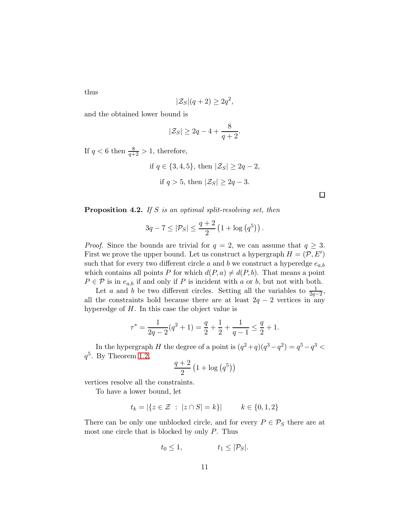thus

$$
|\mathcal{Z}_S|(q+2) \ge 2q^2,
$$

and the obtained lower bound is

$$
|\mathcal{Z}_S| \ge 2q - 4 + \frac{8}{q+2}.
$$

If  $q < 6$  then  $\frac{8}{q+2} > 1$ , therefore,

if  $q \in \{3, 4, 5\}$ , then  $|\mathcal{Z}_S| \geq 2q - 2$ , if  $q > 5$ , then  $|\mathcal{Z}_S| > 2q - 3$ .

<span id="page-10-0"></span>**Proposition 4.2.** If S is an optimal split-resolving set, then

$$
3q - 7 \le |\mathcal{P}_S| \le \frac{q+2}{2} \left(1 + \log\left(q^5\right)\right).
$$

*Proof.* Since the bounds are trivial for  $q = 2$ , we can assume that  $q \geq 3$ . First we prove the upper bound. Let us construct a hypergraph  $H = (\mathcal{P}, E')$ such that for every two different circle a and b we construct a hyperedge  $e_{a,b}$ which contains all points P for which  $d(P, a) \neq d(P, b)$ . That means a point  $P \in \mathcal{P}$  is in  $e_{a,b}$  if and only if P is incident with a or b, but not with both.

Let *a* and *b* be two different circles. Setting all the variables to  $\frac{1}{2q-2}$ , all the constraints hold because there are at least  $2q - 2$  vertices in any hyperedge of H. In this case the object value is

$$
\tau^* = \frac{1}{2q-2}(q^2+1) = \frac{q}{2} + \frac{1}{2} + \frac{1}{q-1} \le \frac{q}{2} + 1.
$$

In the hypergraph H the degree of a point is  $(q^2+q)(q^3-q^2) = q^5-q^3$  $q^5$ . By Theorem [1.2,](#page-1-0)

$$
\frac{q+2}{2}\left(1+\log\left(q^{5}\right)\right)
$$

vertices resolve all the constraints.

To have a lower bound, let

$$
t_k = |\{z \in \mathcal{Z} \ : \ |z \cap S| = k\}| \qquad k \in \{0, 1, 2\}
$$

There can be only one unblocked circle, and for every  $P \in \mathcal{P}_S$  there are at most one circle that is blocked by only  $P$ . Thus

$$
t_0 \le 1, \qquad t_1 \le |\mathcal{P}_S|.
$$

 $\Box$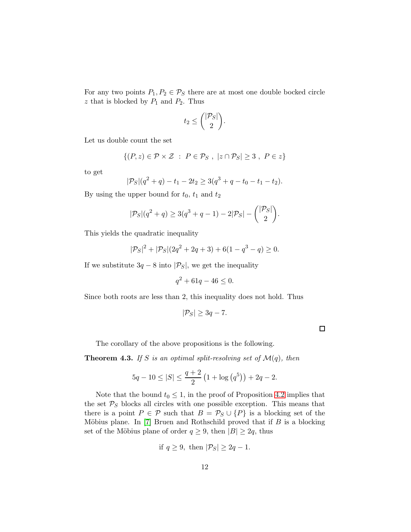For any two points  $P_1, P_2 \in \mathcal{P}_S$  there are at most one double bocked circle  $z$  that is blocked by  $P_1$  and  $P_2$ . Thus

$$
t_2 \leq {\binom{|\mathcal{P}_S|}{2}}.
$$

Let us double count the set

$$
\{(P, z) \in \mathcal{P} \times \mathcal{Z} : P \in \mathcal{P}_S, |z \cap \mathcal{P}_S| \geq 3, P \in z\}
$$

to get

$$
|\mathcal{P}_S|(q^2+q)-t_1-2t_2\geq 3(q^3+q-t_0-t_1-t_2).
$$

By using the upper bound for  $t_0$ ,  $t_1$  and  $t_2$ 

$$
|\mathcal{P}_S|(q^2+q) \ge 3(q^3+q-1) - 2|\mathcal{P}_S| - {|\mathcal{P}_S| \choose 2}.
$$

This yields the quadratic inequality

$$
|\mathcal{P}_S|^2 + |\mathcal{P}_S|(2q^2 + 2q + 3) + 6(1 - q^3 - q) \ge 0.
$$

If we substitute  $3q - 8$  into  $|\mathcal{P}_S|$ , we get the inequality

$$
q^2 + 61q - 46 \le 0.
$$

Since both roots are less than 2, this inequality does not hold. Thus

$$
|\mathcal{P}_S| \geq 3q - 7.
$$

 $\Box$ 

The corollary of the above propositions is the following.

**Theorem 4.3.** If S is an optimal split-resolving set of  $\mathcal{M}(q)$ , then

$$
5q - 10 \le |S| \le \frac{q+2}{2} \left(1 + \log\left(q^5\right)\right) + 2q - 2.
$$

Note that the bound  $t_0 \leq 1$ , in the proof of Proposition [4.2](#page-10-0) implies that the set  $P<sub>S</sub>$  blocks all circles with one possible exception. This means that there is a point  $P \in \mathcal{P}$  such that  $B = \mathcal{P}_S \cup \{P\}$  is a blocking set of the Möbius plane. In  $[7]$  Bruen and Rothschild proved that if  $B$  is a blocking set of the Möbius plane of order  $q \ge 9$ , then  $|B| \ge 2q$ , thus

if 
$$
q \ge 9
$$
, then  $|\mathcal{P}_S| \ge 2q - 1$ .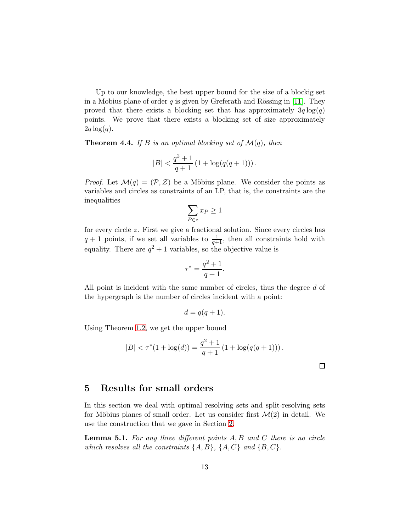Up to our knowledge, the best upper bound for the size of a blockig set in a Mobius plane of order q is given by Greferath and Rössing in [\[11\]](#page-15-4). They proved that there exists a blocking set that has approximately  $3q \log(q)$ points. We prove that there exists a blocking set of size approximately  $2q \log(q)$ .

<span id="page-12-0"></span>**Theorem 4.4.** If B is an optimal blocking set of  $\mathcal{M}(q)$ , then

$$
|B| < \frac{q^2+1}{q+1} \left(1 + \log(q(q+1))\right).
$$

*Proof.* Let  $\mathcal{M}(q) = (\mathcal{P}, \mathcal{Z})$  be a Möbius plane. We consider the points as variables and circles as constraints of an LP, that is, the constraints are the inequalities

$$
\sum_{P \in z} x_P \ge 1
$$

for every circle z. First we give a fractional solution. Since every circles has  $q + 1$  points, if we set all variables to  $\frac{1}{q+1}$ , then all constraints hold with equality. There are  $q^2 + 1$  variables, so the objective value is

$$
\tau^* = \frac{q^2 + 1}{q+1}.
$$

All point is incident with the same number of circles, thus the degree d of the hypergraph is the number of circles incident with a point:

$$
d = q(q+1).
$$

Using Theorem [1.2,](#page-1-0) we get the upper bound

$$
|B| < \tau^*(1 + \log(d)) = \frac{q^2 + 1}{q + 1} \left( 1 + \log(q(q + 1)) \right).
$$

# 5 Results for small orders

In this section we deal with optimal resolving sets and split-resolving sets for Möbius planes of small order. Let us consider first  $\mathcal{M}(2)$  in detail. We use the construction that we gave in Section [2.](#page-2-0)

<span id="page-12-1"></span>**Lemma 5.1.** For any three different points  $A, B$  and  $C$  there is no circle which resolves all the constraints  $\{A, B\}$ ,  $\{A, C\}$  and  $\{B, C\}$ .

 $\Box$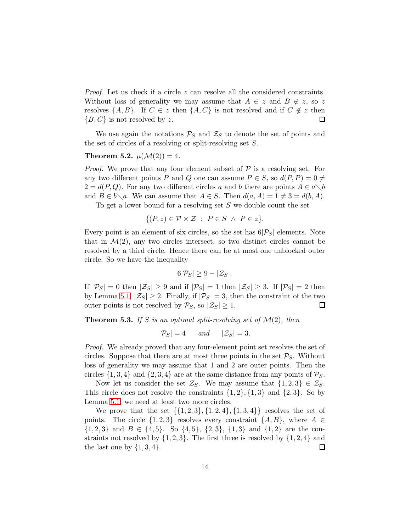Proof. Let us check if a circle z can resolve all the considered constraints. Without loss of generality we may assume that  $A \in \mathcal{Z}$  and  $B \notin \mathcal{Z}$ , so  $\mathcal{Z}$ resolves  $\{A, B\}$ . If  $C \in z$  then  $\{A, C\}$  is not resolved and if  $C \notin z$  then  ${B, C}$  is not resolved by z. 囗

We use again the notations  $P_S$  and  $\mathcal{Z}_S$  to denote the set of points and the set of circles of a resolving or split-resolving set S.

#### Theorem 5.2.  $\mu(\mathcal{M}(2)) = 4$ .

*Proof.* We prove that any four element subset of  $P$  is a resolving set. For any two different points P and Q one can assume  $P \in S$ , so  $d(P, P) = 0 \neq$  $2 = d(P,Q)$ . For any two different circles a and b there are points  $A \in a \setminus b$ and  $B \in b \setminus a$ . We can assume that  $A \in S$ . Then  $d(a, A) = 1 \neq 3 = d(b, A)$ .

To get a lower bound for a resolving set S we double count the set

$$
\{(P, z) \in \mathcal{P} \times \mathcal{Z} : P \in S \land P \in z\}.
$$

Every point is an element of six circles, so the set has  $6|\mathcal{P}_S|$  elements. Note that in  $\mathcal{M}(2)$ , any two circles intersect, so two distinct circles cannot be resolved by a third circle. Hence there can be at most one unblocked outer circle. So we have the inequality

$$
6|\mathcal{P}_S| \ge 9 - |\mathcal{Z}_S|.
$$

If  $|\mathcal{P}_S| = 0$  then  $|\mathcal{Z}_S| \geq 9$  and if  $|\mathcal{P}_S| = 1$  then  $|\mathcal{Z}_S| \geq 3$ . If  $|\mathcal{P}_S| = 2$  then by Lemma [5.1,](#page-12-1)  $|\mathcal{Z}_S| \geq 2$ . Finally, if  $|\mathcal{P}_S| = 3$ , then the constraint of the two outer points is not resolved by  $\mathcal{P}_S$ , so  $|\mathcal{Z}_S| \geq 1$ . □

**Theorem 5.3.** If S is an optimal split-resolving set of  $\mathcal{M}(2)$ , then

$$
|\mathcal{P}_S| = 4 \qquad and \qquad |\mathcal{Z}_S| = 3.
$$

Proof. We already proved that any four-element point set resolves the set of circles. Suppose that there are at most three points in the set  $P_S$ . Without loss of generality we may assume that 1 and 2 are outer points. Then the circles  $\{1, 3, 4\}$  and  $\{2, 3, 4\}$  are at the same distance from any points of  $P_S$ .

Now let us consider the set  $\mathcal{Z}_S$ . We may assume that  $\{1,2,3\} \in \mathcal{Z}_S$ . This circle does not resolve the constraints  $\{1, 2\}, \{1, 3\}$  and  $\{2, 3\}$ . So by Lemma [5.1,](#page-12-1) we need at least two more circles.

We prove that the set  $\{\{1, 2, 3\}, \{1, 2, 4\}, \{1, 3, 4\}\}\)$  resolves the set of points. The circle  $\{1,2,3\}$  resolves every constraint  $\{A, B\}$ , where  $A \in$  ${1, 2, 3}$  and  $B \in \{4, 5\}$ . So  $\{4, 5\}$ ,  $\{2, 3\}$ ,  $\{1, 3\}$  and  $\{1, 2\}$  are the constraints not resolved by  $\{1, 2, 3\}$ . The first three is resolved by  $\{1, 2, 4\}$  and the last one by  $\{1, 3, 4\}.$  $\Box$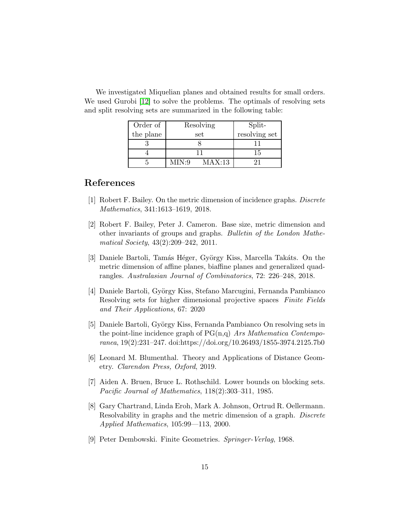| Order of  | Resolving       | Split-        |
|-----------|-----------------|---------------|
| the plane | set             | resolving set |
|           |                 |               |
|           |                 | 15            |
|           | MAX:13<br>MIN:9 |               |

We investigated Miquelian planes and obtained results for small orders. We used Gurobi [\[12\]](#page-15-9) to solve the problems. The optimals of resolving sets and split resolving sets are summarized in the following table:

## <span id="page-14-3"></span>References

- <span id="page-14-1"></span>[1] Robert F. Bailey. On the metric dimension of incidence graphs. Discrete Mathematics, 341:1613–1619, 2018.
- [2] Robert F. Bailey, Peter J. Cameron. Base size, metric dimension and other invariants of groups and graphs. Bulletin of the London Mathematical Society, 43(2):209–242, 2011.
- <span id="page-14-4"></span>[3] Daniele Bartoli, Tamás Héger, György Kiss, Marcella Takáts. On the metric dimension of affine planes, biaffine planes and generalized quadrangles. Australasian Journal of Combinatorics, 72: 226–248, 2018.
- <span id="page-14-5"></span>[4] Daniele Bartoli, György Kiss, Stefano Marcugini, Fernanda Pambianco Resolving sets for higher dimensional projective spaces Finite Fields and Their Applications, 67: 2020
- <span id="page-14-6"></span>[5] Daniele Bartoli, György Kiss, Fernanda Pambianco On resolving sets in the point-line incidence graph of  $PG(n,q)$  Ars Mathematica Contemporanea, 19(2):231–247. doi:https://doi.org/10.26493/1855-3974.2125.7b0
- <span id="page-14-7"></span><span id="page-14-0"></span>[6] Leonard M. Blumenthal. Theory and Applications of Distance Geometry. Clarendon Press, Oxford, 2019.
- [7] Aiden A. Bruen, Bruce L. Rothschild. Lower bounds on blocking sets. Pacific Journal of Mathematics, 118(2):303–311, 1985.
- <span id="page-14-2"></span>[8] Gary Chartrand, Linda Eroh, Mark A. Johnson, Ortrud R. Oellermann. Resolvability in graphs and the metric dimension of a graph. Discrete Applied Mathematics, 105:99—113, 2000.
- <span id="page-14-8"></span>[9] Peter Dembowski. Finite Geometries. Springer-Verlag, 1968.